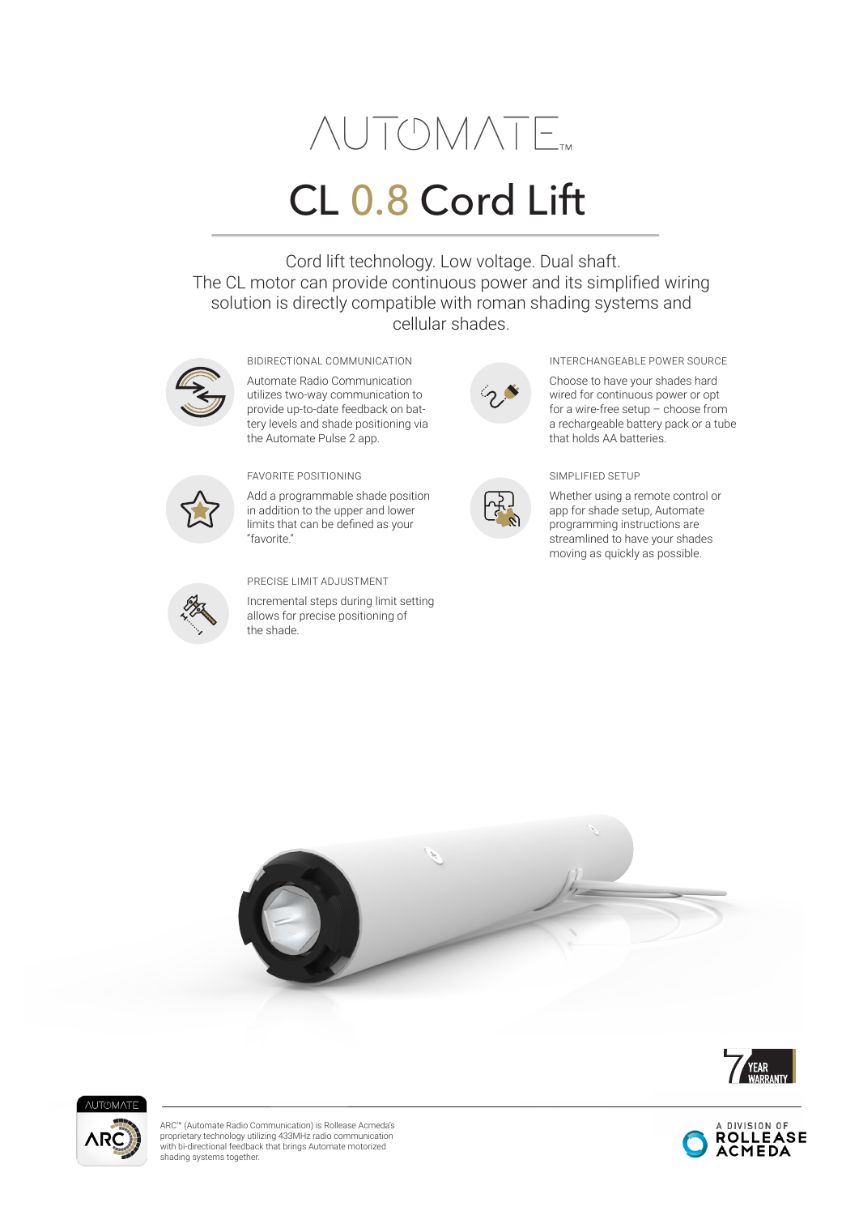# **AUTOMATE**

# CL 0.8 Cord Lift

 Cord lift technology. Low voltage. Dual shaft. The CL motor can provide continuous power and its simplified wiring solution is directly compatible with roman shading systems and cellular shades.



Automate Radio Communication utilizes two-way communication to

provide up-to-date feedback on battery levels and shade positioning via the Automate Pulse 2 app.



Add a programmable shade position in addition to the upper and lower limits that can be defined as your "favorite."



#### PRECISE LIMIT ADJUSTMENT

Incremental steps during limit setting allows for precise positioning of the shade.





## BIDIRECTIONAL COMMUNICATION **INTERCHANGEABLE POWER SOURCE**

Choose to have your shades hard wired for continuous power or opt for a wire-free setup – choose from a rechargeable battery pack or a tube that holds AA batteries.



Whether using a remote control or app for shade setup, Automate programming instructions are streamlined to have your shades moving as quickly as possible.









ARC™ (Automate Radio Communication) is Rollease Acmeda's proprietary technology utilizing 433MHz radio communication with bi-directional feedback that brings Automate motorized shading systems together.